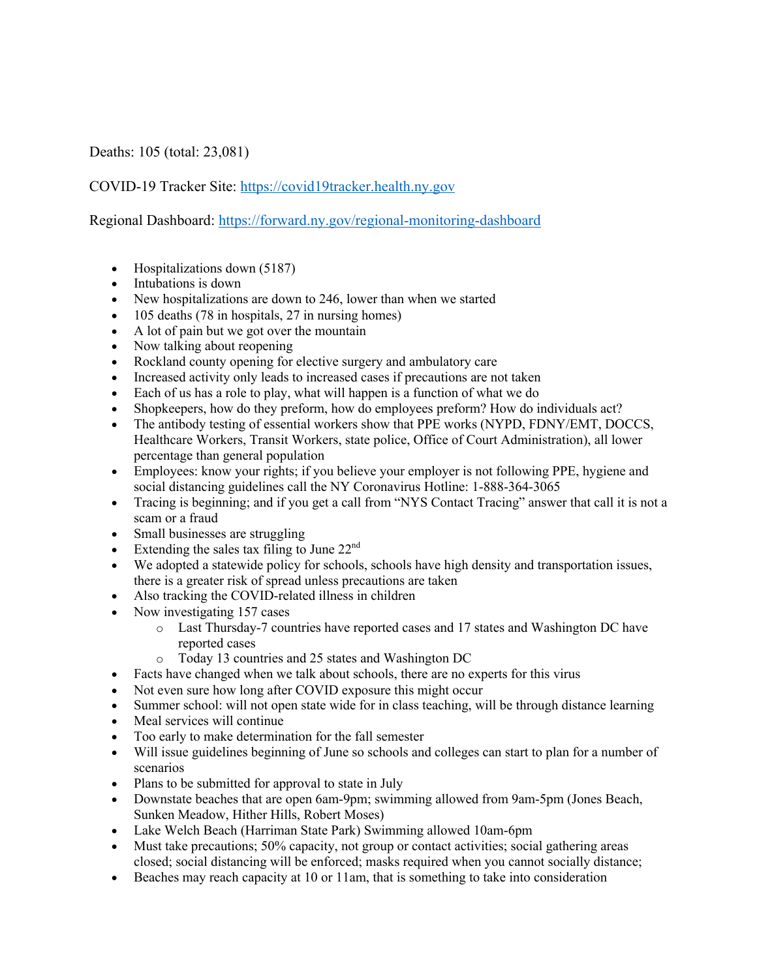Deaths: 105 (total: 23,081)

COVID-19 Tracker Site: https://covid19tracker.health.ny.gov

Regional Dashboard: https://forward.ny.gov/regional-monitoring-dashboard

- Hospitalizations down (5187)
- Intubations is down
- New hospitalizations are down to 246, lower than when we started
- 105 deaths (78 in hospitals, 27 in nursing homes)
- A lot of pain but we got over the mountain
- Now talking about reopening
- Rockland county opening for elective surgery and ambulatory care
- Increased activity only leads to increased cases if precautions are not taken
- Each of us has a role to play, what will happen is a function of what we do
- Shopkeepers, how do they preform, how do employees preform? How do individuals act?
- The antibody testing of essential workers show that PPE works (NYPD, FDNY/EMT, DOCCS, Healthcare Workers, Transit Workers, state police, Office of Court Administration), all lower percentage than general population
- Employees: know your rights; if you believe your employer is not following PPE, hygiene and social distancing guidelines call the NY Coronavirus Hotline: 1-888-364-3065
- Tracing is beginning; and if you get a call from "NYS Contact Tracing" answer that call it is not a scam or a fraud
- Small businesses are struggling
- Extending the sales tax filing to June  $22<sup>nd</sup>$
- We adopted a statewide policy for schools, schools have high density and transportation issues, there is a greater risk of spread unless precautions are taken
- Also tracking the COVID-related illness in children
- Now investigating 157 cases
	- o Last Thursday-7 countries have reported cases and 17 states and Washington DC have reported cases
	- o Today 13 countries and 25 states and Washington DC
- Facts have changed when we talk about schools, there are no experts for this virus
- Not even sure how long after COVID exposure this might occur
- Summer school: will not open state wide for in class teaching, will be through distance learning
- Meal services will continue
- Too early to make determination for the fall semester
- Will issue guidelines beginning of June so schools and colleges can start to plan for a number of scenarios
- Plans to be submitted for approval to state in July
- Downstate beaches that are open 6am-9pm; swimming allowed from 9am-5pm (Jones Beach, Sunken Meadow, Hither Hills, Robert Moses)
- Lake Welch Beach (Harriman State Park) Swimming allowed 10am-6pm
- Must take precautions; 50% capacity, not group or contact activities; social gathering areas closed; social distancing will be enforced; masks required when you cannot socially distance;
- Beaches may reach capacity at 10 or 11am, that is something to take into consideration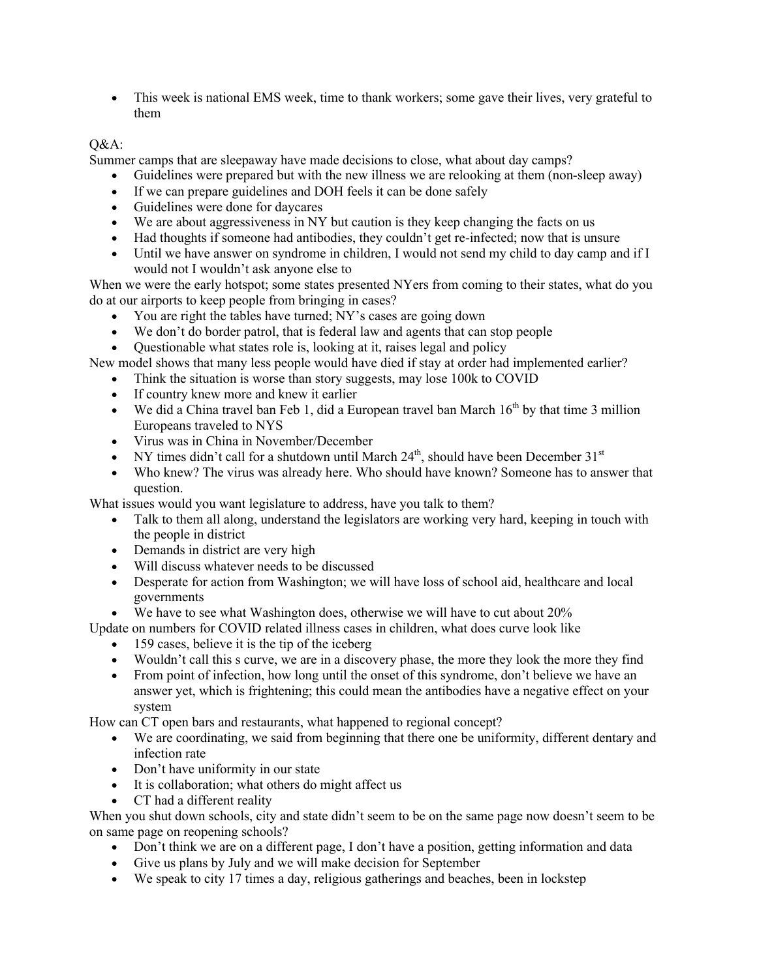• This week is national EMS week, time to thank workers; some gave their lives, very grateful to them

## Q&A:

Summer camps that are sleepaway have made decisions to close, what about day camps?

- Guidelines were prepared but with the new illness we are relooking at them (non-sleep away)
- If we can prepare guidelines and DOH feels it can be done safely
- Guidelines were done for daycares
- We are about aggressiveness in NY but caution is they keep changing the facts on us
- Had thoughts if someone had antibodies, they couldn't get re-infected; now that is unsure
- Until we have answer on syndrome in children, I would not send my child to day camp and if I would not I wouldn't ask anyone else to

When we were the early hotspot; some states presented NYers from coming to their states, what do you do at our airports to keep people from bringing in cases?

- You are right the tables have turned; NY's cases are going down
- We don't do border patrol, that is federal law and agents that can stop people

• Questionable what states role is, looking at it, raises legal and policy

New model shows that many less people would have died if stay at order had implemented earlier?

- Think the situation is worse than story suggests, may lose 100k to COVID
- If country knew more and knew it earlier
- We did a China travel ban Feb 1, did a European travel ban March  $16<sup>th</sup>$  by that time 3 million Europeans traveled to NYS
- Virus was in China in November/December
- NY times didn't call for a shutdown until March  $24<sup>th</sup>$ , should have been December  $31<sup>st</sup>$
- Who knew? The virus was already here. Who should have known? Someone has to answer that question.

What issues would you want legislature to address, have you talk to them?

- Talk to them all along, understand the legislators are working very hard, keeping in touch with the people in district
- Demands in district are very high
- Will discuss whatever needs to be discussed
- Desperate for action from Washington; we will have loss of school aid, healthcare and local governments
- We have to see what Washington does, otherwise we will have to cut about 20%
- Update on numbers for COVID related illness cases in children, what does curve look like
	- 159 cases, believe it is the tip of the iceberg
		- Wouldn't call this s curve, we are in a discovery phase, the more they look the more they find
		- From point of infection, how long until the onset of this syndrome, don't believe we have an answer yet, which is frightening; this could mean the antibodies have a negative effect on your system

How can CT open bars and restaurants, what happened to regional concept?

- We are coordinating, we said from beginning that there one be uniformity, different dentary and infection rate
- Don't have uniformity in our state
- It is collaboration; what others do might affect us
- CT had a different reality

When you shut down schools, city and state didn't seem to be on the same page now doesn't seem to be on same page on reopening schools?

- Don't think we are on a different page, I don't have a position, getting information and data
- Give us plans by July and we will make decision for September
- We speak to city 17 times a day, religious gatherings and beaches, been in lockstep